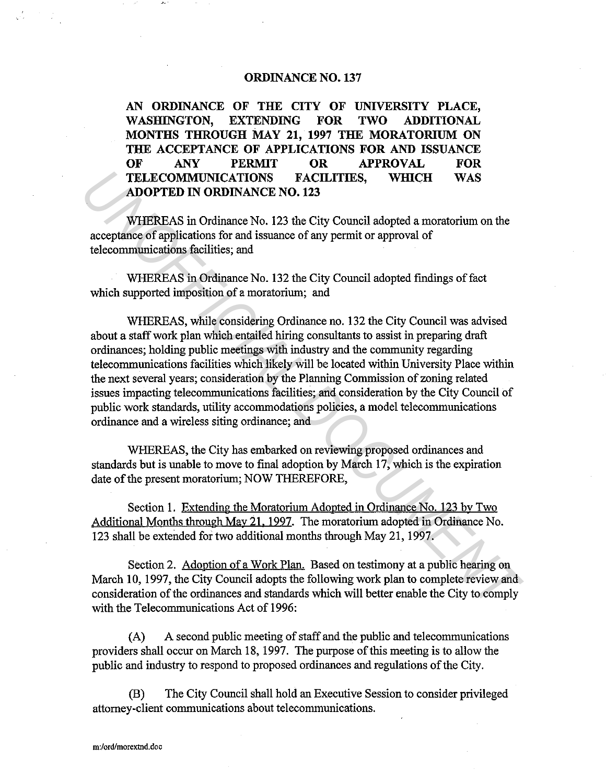## **ORDINANCE NO. 137**

**AN ORDINANCE OF THE CITY OF UNIVERSITY PLACE, WASHINGTON, EXTENDING FOR TWO ADDITIONAL MONTHS THROUGH MAY 21, 1997 THE MORATORIUM ON THE ACCEPTANCE OF APPLICATIONS FOR AND ISSUANCE OF ANY PERMIT OR APPROVAL FOR TELECOMMUNICATIONS FACILITIES, WHICH WAS ADOPTED IN ORDINANCE NO. 123** 

WHEREAS in Ordinance No. 123 the City Council adopted a moratorium on the acceptance of applications for and issuance of any permit or approval of telecommunications facilities; and

WHEREAS in Ordinance No. 132 the City Council adopted findings of fact which supported imposition of a moratorium; and

WHEREAS, while considering Ordinance no. 132 the City Council was advised about a staff work plan which entailed hiring consultants to assist in preparing draft ordinances; holding public meetings with industry and the community regarding telecommunications facilities which likely will be located within University Place within the next several years; consideration by the Planning Commission of zoning related issues impacting telecommunications facilities; and consideration by the City Council of public work standards, utility accommodations policies, a model telecommunications ordinance and a wireless siting ordinance; and **TELECOMMUNICATIONS FACILITIES, WHICH WAS**<br>**ADOPTED IN ORDINANCE NO. 123**<br>**WHEREAS** in Ordinance No. 123 the City Council adopted a moratorium on the<br>acceptance of applications for and issuance of any permit or approval

WHEREAS, the City has embarked on reviewing proposed ordinances and standards **but** is unable to move to final adoption by March 17, which is the expiration date of the present moratorium; NOW THEREFORE,

Section 1. Extending the Moratorium Adopted in Ordinance No. 123 by Two Additional Months through May 21. 1997. The moratorium adopted in Ordinance No. 123 shall be extended for two additional months through May 21, 1997.

Section 2. Adoption of a Work Plan. Based on testimony at a public hearing on March 10, 1997, the City Council adopts the following work plan to complete review and consideration of the ordinances and standards which will better enable the City to comply with the Telecommunications Act of 1996:

(A) A second public meeting of staff and the public and telecommunications providers shall occur on March 18, 1997. The purpose of this meeting is to allow the public and industry to respond to proposed ordinances and regulations of the City.

(B) The City Council shall hold an Executive Session to consider privileged attorney-client communications about telecommunications.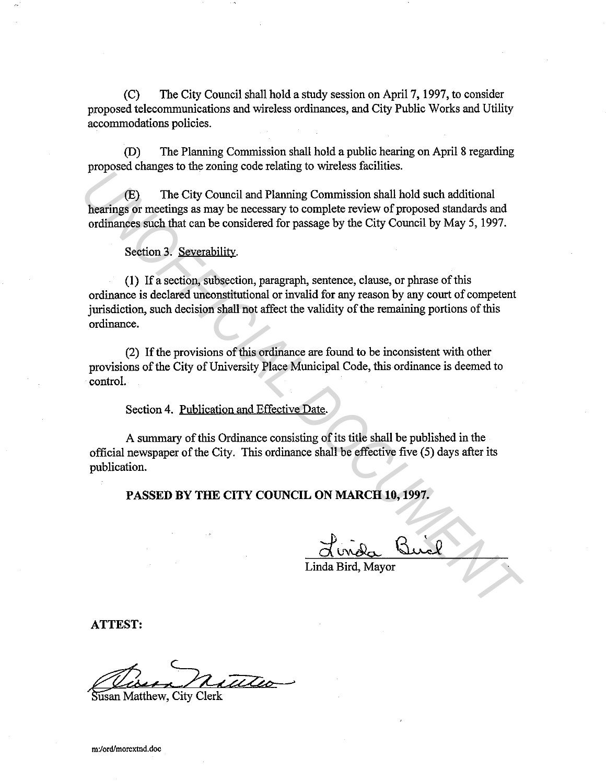(C) The City Council shall hold a study session on April 7, 1997, to consider proposed telecommunications and wireless ordinances, and City Public Works and Utility accommodations policies.

(D) The Planning Commission shall hold a public hearing on April 8 regarding proposed changes to the zoning code relating to wireless facilities.

(E) The City Council and Planning Commission shall hold such additional hearings or meetings as may be necessary to complete review of proposed standards and ordinances such that can be considered for passage by the City Council by May 5, 1997.

Section 3. Severability.

**(1)** If a section, subsection, paragraph, sentence, clause, or phrase of this ordinance is declared unconstitutional or invalid for any reason by any court of competent jurisdiction, such decision shall not affect the validity of the remaining portions of this ordinance. *UCB)* The City Council and Planning constant and Dial hold such additional<br>**hearings** or meetings as may be necessary to complete review of proposed standards and<br>ordinances such that can be considered for passage by the

(2) If the provisions of this ordinance are found to be inconsistent with other provisions of the City of University Place Municipal Code, this ordinance is deemed to control.

Section 4. Publication and Effective Date.

A summary of this Ordinance consisting of its title shall be published in the official newspaper of the City. This ordinance shall be effective five (5) days after its publication.

**PASSED BY THE CITY COUNCIL ON MARCH 10, 1997.** 

Linda Bird, Mayor

**ATTEST:** 

Susan Matthew, City Clerk

**m:/ord/morextnd.doc**